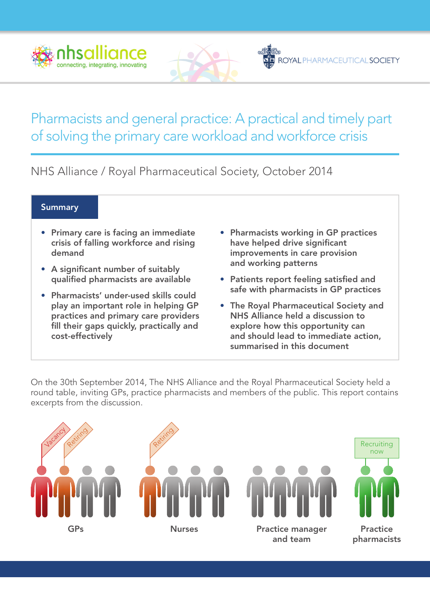



# Pharmacists and general practice: A practical and timely part of solving the primary care workload and workforce crisis

NHS Alliance / Royal Pharmaceutical Society, October 2014

#### **Summary**

- Primary care is facing an immediate crisis of falling workforce and rising demand
- A significant number of suitably qualified pharmacists are available
- Pharmacists' under-used skills could play an important role in helping GP practices and primary care providers fill their gaps quickly, practically and cost-effectively
- Pharmacists working in GP practices have helped drive significant improvements in care provision and working patterns
- Patients report feeling satisfied and safe with pharmacists in GP practices
- The Royal Pharmaceutical Society and NHS Alliance held a discussion to explore how this opportunity can and should lead to immediate action, summarised in this document

On the 30th September 2014, The NHS Alliance and the Royal Pharmaceutical Society held a round table, inviting GPs, practice pharmacists and members of the public. This report contains excerpts from the discussion.

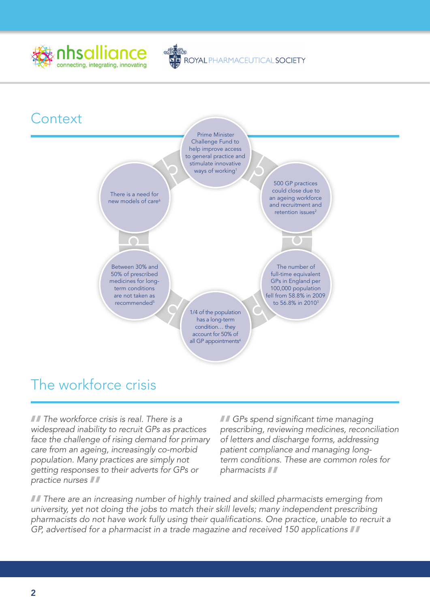



ROYAL PHARMACEUTICAL SOCIETY

# The workforce crisis

*The workforce crisis is real. There is a widespread inability to recruit GPs as practices face the challenge of rising demand for primary care from an ageing, increasingly co-morbid population. Many practices are simply not getting responses to their adverts for GPs or practice nurses*

*GPs spend significant time managing prescribing, reviewing medicines, reconciliation of letters and discharge forms, addressing patient compliance and managing longterm conditions. These are common roles for pharmacists*

*TI* There are an increasing number of highly trained and skilled pharmacists emerging from *university, yet not doing the jobs to match their skill levels; many independent prescribing pharmacists do not have work fully using their qualifications. One practice, unable to recruit a GP, advertised for a pharmacist in a trade magazine and received 150 applications*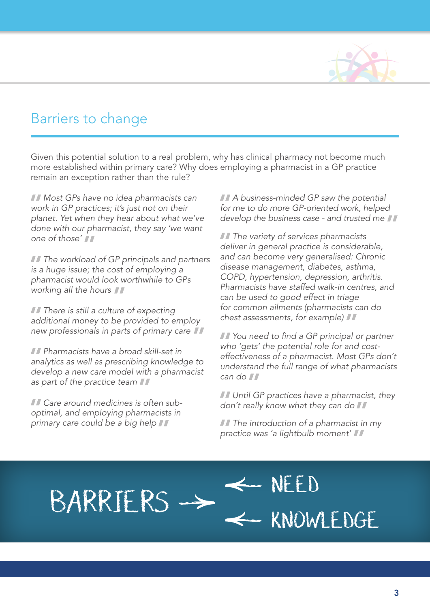

## Barriers to change

Given this potential solution to a real problem, why has clinical pharmacy not become much more established within primary care? Why does employing a pharmacist in a GP practice remain an exception rather than the rule?

*Most GPs have no idea pharmacists can work in GP practices; it's just not on their planet. Yet when they hear about what we've done with our pharmacist, they say 'we want one of those'*

*The workload of GP principals and partners is a huge issue; the cost of employing a pharmacist would look worthwhile to GPs working all the hours*

*There is still a culture of expecting additional money to be provided to employ new professionals in parts of primary care*

*Pharmacists have a broad skill-set in analytics as well as prescribing knowledge to develop a new care model with a pharmacist as part of the practice team*

*primary care could be a big help*

*A business-minded GP saw the potential for me to do more GP-oriented work, helped develop the business case - and trusted me*

*The variety of services pharmacists deliver in general practice is considerable, and can become very generalised: Chronic disease management, diabetes, asthma, COPD, hypertension, depression, arthritis. Pharmacists have staffed walk-in centres, and can be used to good effect in triage for common ailments (pharmacists can do chest assessments, for example)*

*You need to find a GP principal or partner who 'gets' the potential role for and costeffectiveness of a pharmacist. Most GPs don't understand the full range of what pharmacists can do*

*Until GP practices have a pharmacist, they Care around medicines is often sub- don't really know what they can do optimal, and employing pharmacists in* 

*The introduction of a pharmacist in my practice was 'a lightbulb moment'*

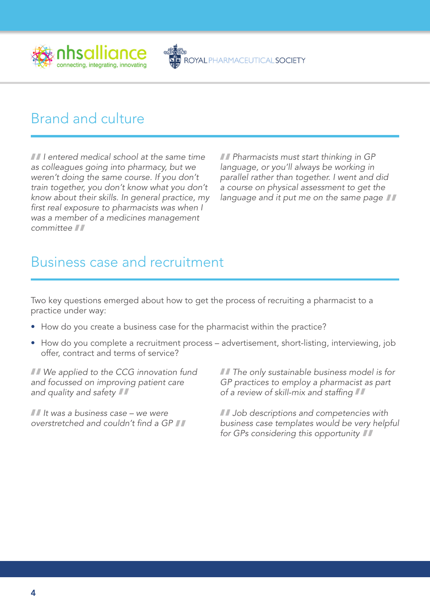

# Brand and culture

*I entered medical school at the same time as colleagues going into pharmacy, but we weren't doing the same course. If you don't train together, you don't know what you don't know about their skills. In general practice, my first real exposure to pharmacists was when I was a member of a medicines management committee*

*Pharmacists must start thinking in GP language, or you'll always be working in parallel rather than together. I went and did a course on physical assessment to get the language and it put me on the same page*

ROYAL PHARMACEUTICAL SOCIETY

## Business case and recruitment

Two key questions emerged about how to get the process of recruiting a pharmacist to a practice under way:

- How do you create a business case for the pharmacist within the practice?
- How do you complete a recruitment process advertisement, short-listing, interviewing, job offer, contract and terms of service?

*We applied to the CCG innovation fund and focussed on improving patient care and quality and safety*

*It was a business case – we were overstretched and couldn't find a GP* *The only sustainable business model is for GP practices to employ a pharmacist as part of a review of skill-mix and staffing*

*Job descriptions and competencies with business case templates would be very helpful for GPs considering this opportunity*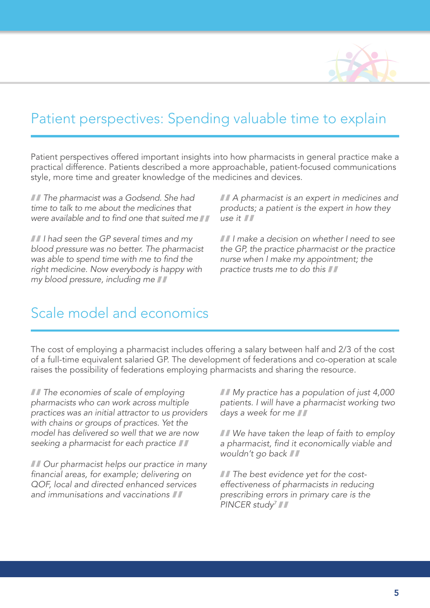

## Patient perspectives: Spending valuable time to explain

Patient perspectives offered important insights into how pharmacists in general practice make a practical difference. Patients described a more approachable, patient-focused communications style, more time and greater knowledge of the medicines and devices.

*The pharmacist was a Godsend. She had time to talk to me about the medicines that were available and to find one that suited me*

*I had seen the GP several times and my blood pressure was no better. The pharmacist was able to spend time with me to find the right medicine. Now everybody is happy with my blood pressure, including me*

*A pharmacist is an expert in medicines and products; a patient is the expert in how they use it*

*I make a decision on whether I need to see the GP, the practice pharmacist or the practice nurse when I make my appointment; the practice trusts me to do this*

#### Scale model and economics

The cost of employing a pharmacist includes offering a salary between half and 2/3 of the cost of a full-time equivalent salaried GP. The development of federations and co-operation at scale raises the possibility of federations employing pharmacists and sharing the resource.

*The economies of scale of employing pharmacists who can work across multiple practices was an initial attractor to us providers with chains or groups of practices. Yet the model has delivered so well that we are now seeking a pharmacist for each practice*

*Our pharmacist helps our practice in many financial areas, for example; delivering on QOF, local and directed enhanced services and immunisations and vaccinations*

*My practice has a population of just 4,000 patients. I will have a pharmacist working two days a week for me*

*We have taken the leap of faith to employ a pharmacist, find it economically viable and wouldn't go back*

*The best evidence yet for the costeffectiveness of pharmacists in reducing prescribing errors in primary care is the PINCER study7*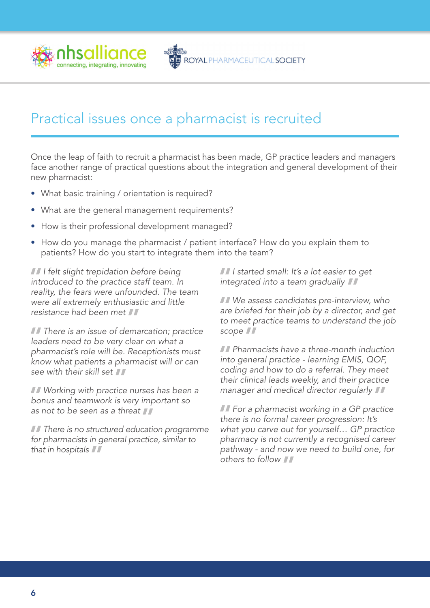

## Practical issues once a pharmacist is recruited

Once the leap of faith to recruit a pharmacist has been made, GP practice leaders and managers face another range of practical questions about the integration and general development of their new pharmacist:

- What basic training / orientation is required?
- What are the general management requirements?
- How is their professional development managed?
- How do you manage the pharmacist / patient interface? How do you explain them to patients? How do you start to integrate them into the team?

*I felt slight trepidation before being introduced to the practice staff team. In reality, the fears were unfounded. The team were all extremely enthusiastic and little resistance had been met*

*There is an issue of demarcation; practice leaders need to be very clear on what a pharmacist's role will be. Receptionists must know what patients a pharmacist will or can see with their skill set*

*Working with practice nurses has been a bonus and teamwork is very important so as not to be seen as a threat*

*There is no structured education programme for pharmacists in general practice, similar to that in hospitals*

*I started small: It's a lot easier to get integrated into a team gradually*

*We assess candidates pre-interview, who are briefed for their job by a director, and get to meet practice teams to understand the job scope*

*Pharmacists have a three-month induction into general practice - learning EMIS, QOF, coding and how to do a referral. They meet their clinical leads weekly, and their practice manager and medical director regularly*

*For a pharmacist working in a GP practice there is no formal career progression: It's what you carve out for yourself… GP practice pharmacy is not currently a recognised career pathway - and now we need to build one, for others to follow*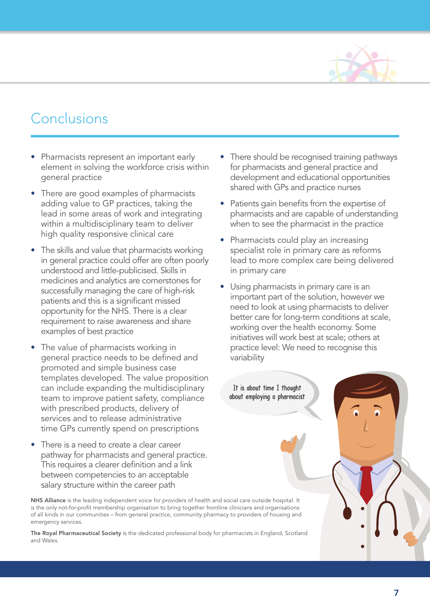

# Conclusions

- Pharmacists represent an important early element in solving the workforce crisis within general practice
- There are good examples of pharmacists adding value to GP practices, taking the lead in some areas of work and integrating within a multidisciplinary team to deliver high quality responsive clinical care
- The skills and value that pharmacists working in general practice could offer are often poorly understood and little-publicised. Skills in medicines and analytics are cornerstones for successfully managing the care of high-risk patients and this is a significant missed opportunity for the NHS. There is a clear requirement to raise awareness and share examples of best practice
- The value of pharmacists working in general practice needs to be defined and promoted and simple business case templates developed. The value proposition can include expanding the multidisciplinary team to improve patient safety, compliance with prescribed products, delivery of services and to release administrative time GPs currently spend on prescriptions
- There is a need to create a clear career pathway for pharmacists and general practice. This requires a clearer definition and a link between competencies to an acceptable salary structure within the career path

NHS Alliance is the leading independent voice for providers of health and social care outside hospital. It is the only not-for-profit membership organisation to bring together frontline clinicians and organisations of all kinds in our communities – from general practice, community pharmacy to providers of housing and emergency services.

The Royal Pharmaceutical Society is the dedicated professional body for pharmacists in England, Scotland and Wales.

- There should be recognised training pathways for pharmacists and general practice and development and educational opportunities shared with GPs and practice nurses
- Patients gain benefits from the expertise of pharmacists and are capable of understanding when to see the pharmacist in the practice
- Pharmacists could play an increasing specialist role in primary care as reforms lead to more complex care being delivered in primary care
- Using pharmacists in primary care is an important part of the solution, however we need to look at using pharmacists to deliver better care for long-term conditions at scale, working over the health economy. Some initiatives will work best at scale; others at practice level: We need to recognise this variability